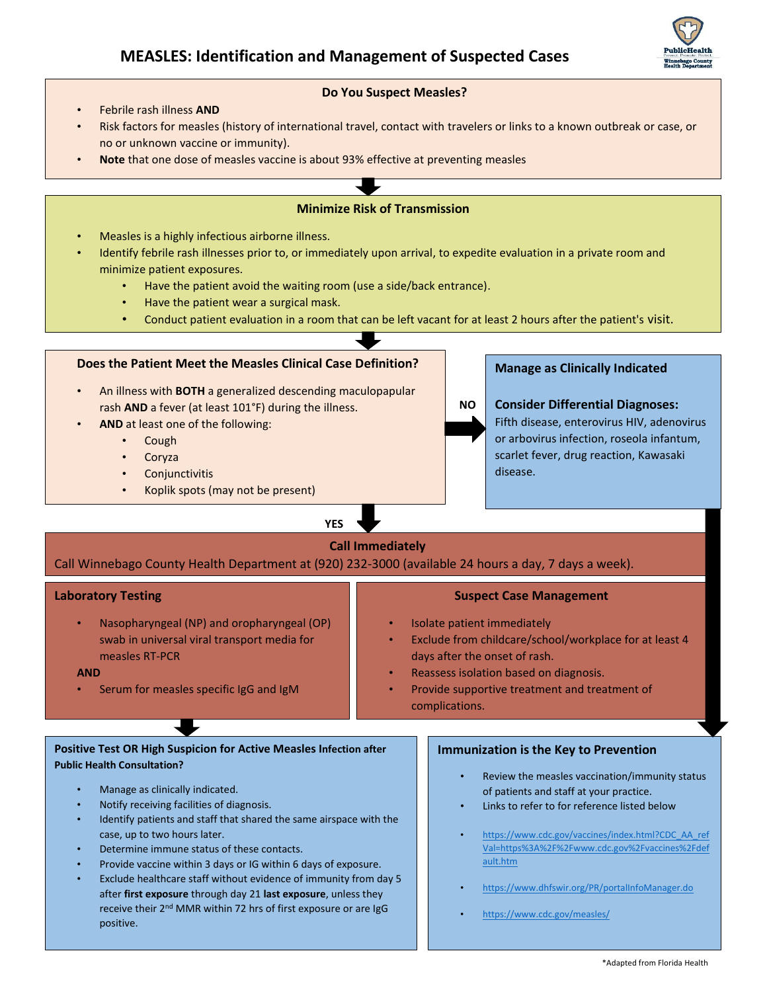## **MEASLES: Identification and Management of Suspected Cases**



## **Do You Suspect Measles?**

- Febrile rash illness **AND**
- Risk factors for measles (history of international travel, contact with travelers or links to a known outbreak or case, or no or unknown vaccine or immunity).
- **Note** that one dose of measles vaccine is about 93% effective at preventing measles